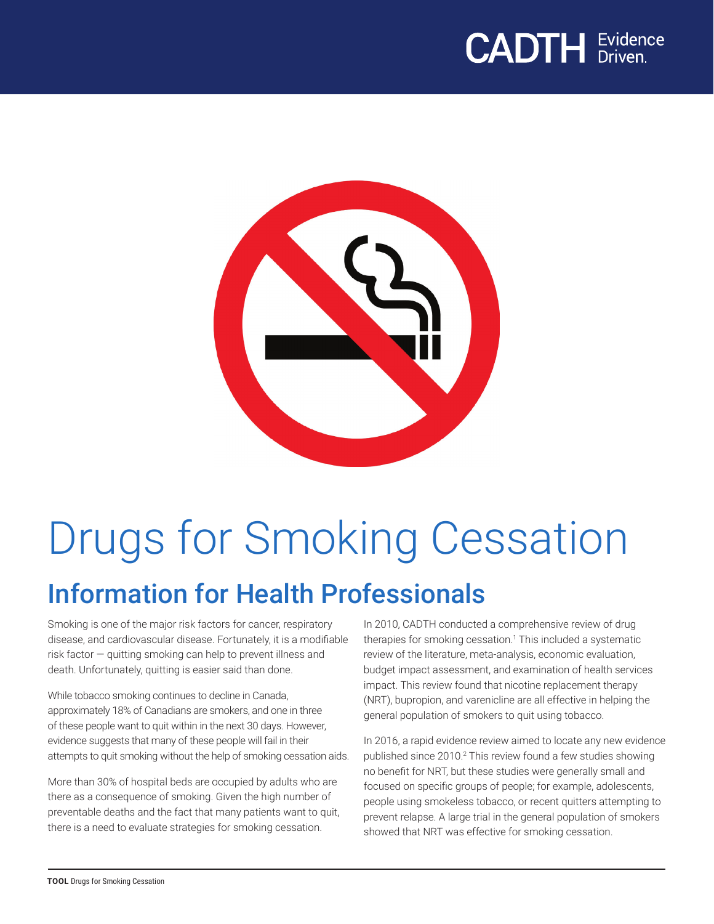## **CADTH** Evidence



# Drugs for Smoking Cessation Information for Health Professionals

Smoking is one of the major risk factors for cancer, respiratory disease, and cardiovascular disease. Fortunately, it is a modifiable risk factor — quitting smoking can help to prevent illness and death. Unfortunately, quitting is easier said than done.

While tobacco smoking continues to decline in Canada, approximately 18% of Canadians are smokers, and one in three of these people want to quit within in the next 30 days. However, evidence suggests that many of these people will fail in their attempts to quit smoking without the help of smoking cessation aids.

More than 30% of hospital beds are occupied by adults who are there as a consequence of smoking. Given the high number of preventable deaths and the fact that many patients want to quit, there is a need to evaluate strategies for smoking cessation.

In 2010, CADTH conducted a comprehensive review of drug therapies for smoking cessation.<sup>1</sup> This included a systematic review of the literature, meta-analysis, economic evaluation, budget impact assessment, and examination of health services impact. This review found that nicotine replacement therapy (NRT), bupropion, and varenicline are all effective in helping the general population of smokers to quit using tobacco.

In 2016, a rapid evidence review aimed to locate any new evidence published since 2010.<sup>2</sup> This review found a few studies showing no benefit for NRT, but these studies were generally small and focused on specific groups of people; for example, adolescents, people using smokeless tobacco, or recent quitters attempting to prevent relapse. A large trial in the general population of smokers showed that NRT was effective for smoking cessation.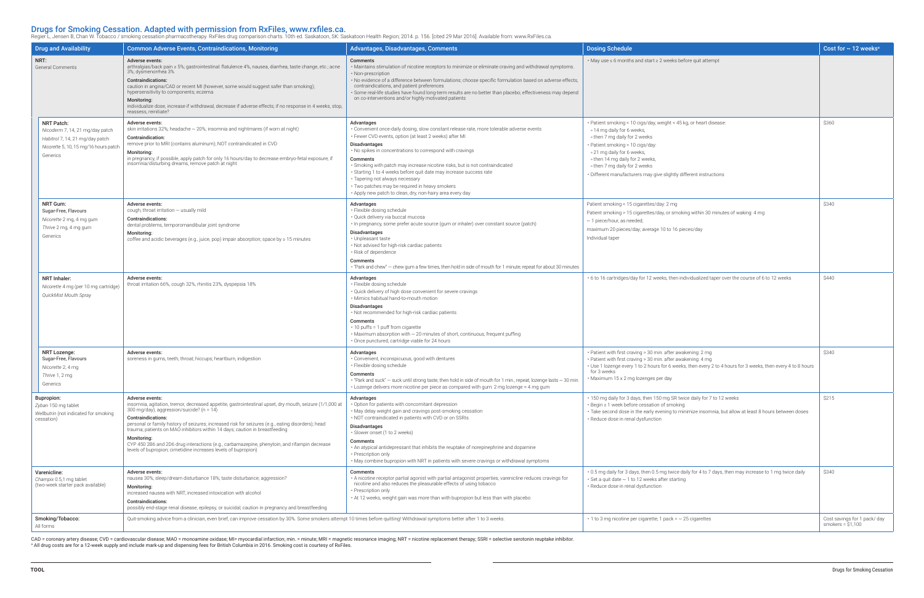**Drugs for Smoking Cessation. Adapted with permission from RxFiles, www.rxfiles.ca.**<br>Regier L, Jensen B, Chan W. Tobacco / smoking cessation pharmacotherapy. RxFiles drug comparison charts. 10th ed. Saskatoon, SK: Saskatoo

| <b>Drug and Availability</b>                                                                                                                 | <b>Common Adverse Events, Contraindications, Monitoring</b>                                                                                                                                                                                                                                                                                                                                                                                                                                                                                                                | Advantages, Disadvantages, Comments                                                                                                                                                                                                                                                                                                                                                                                                                                                                                                                                        | <b>Dosing Schedule</b>                                                                                                                                                                                                                                                                                                                     | Cost for $\sim$ 12 weeks <sup>a</sup>              |
|----------------------------------------------------------------------------------------------------------------------------------------------|----------------------------------------------------------------------------------------------------------------------------------------------------------------------------------------------------------------------------------------------------------------------------------------------------------------------------------------------------------------------------------------------------------------------------------------------------------------------------------------------------------------------------------------------------------------------------|----------------------------------------------------------------------------------------------------------------------------------------------------------------------------------------------------------------------------------------------------------------------------------------------------------------------------------------------------------------------------------------------------------------------------------------------------------------------------------------------------------------------------------------------------------------------------|--------------------------------------------------------------------------------------------------------------------------------------------------------------------------------------------------------------------------------------------------------------------------------------------------------------------------------------------|----------------------------------------------------|
| NRT:<br><b>General Comments</b>                                                                                                              | Adverse events:<br>arthralgias/back pain ≥ 5%; gastrointestinal: flatulence 4%, nausea, diarrhea, taste change, etc.; acne<br>3%; dysmenorrhea 3%<br><b>Contraindications:</b><br>caution in angina/CAD or recent MI (however, some would suggest safer than smoking);<br>hypersensitivity to components; eczema<br>Monitoring:<br>individualize dose, increase if withdrawal, decrease if adverse effects; if no response in 4 weeks, stop,<br>reassess, reinitiate?                                                                                                      | Comments<br>. Maintains stimulation of nicotine receptors to minimize or eliminate craving and withdrawal symptoms.<br>• Non-prescription<br>. No evidence of a difference between formulations; choose specific formulation based on adverse effects,<br>contraindications, and patient preferences<br>· Some real-life studies have found long-term results are no better than placebo; effectiveness may depend<br>on co-interventions and/or highly motivated patients                                                                                                 | • May use ≤ 6 months and start ≥ 2 weeks before quit attempt                                                                                                                                                                                                                                                                               |                                                    |
| <b>NRT Patch:</b><br>Nicoderm 7, 14, 21 mg/day patch<br>Habitrol 7, 14, 21 mg/day patch<br>Nicorette 5, 10, 15 mg/16 hours patch<br>Generics | Adverse events:<br>skin irritations 32%; headache $\sim$ 20%; insomnia and nightmares (if worn at night)<br>Contraindication:<br>remove prior to MRI (contains aluminum); NOT contraindicated in CVD<br>Monitoring:<br>in pregnancy, if possible, apply patch for only 16 hours/day to decrease embryo-fetal exposure; if<br>insomnia/disturbing dreams, remove patch at night                                                                                                                                                                                             | Advantages<br>• Convenient once-daily dosing, slow constant release rate, more tolerable adverse events<br>· Fewer CVD events, option (at least 2 weeks) after MI<br><b>Disadvantages</b><br>• No spikes in concentrations to correspond with cravings<br>Comments<br>• Smoking with patch may increase nicotine risks, but is not contraindicated<br>· Starting 1 to 4 weeks before quit date may increase success rate<br>• Tapering not always necessary<br>• Two patches may be required in heavy smokers<br>• Apply new patch to clean, dry, non-hairy area every day | • Patient smoking < 10 cigs/day, weight < 45 kg, or heart disease<br>∘ 14 mg daily for 6 weeks,<br>∘ then 7 mg daily for 2 weeks<br>Patient smoking > 10 cigs/day:<br>∘ 21 mg daily for 6 weeks,<br>• then 14 mg daily for 2 weeks,<br>∘ then 7 mg daily for 2 weeks<br>· Different manufacturers may give slightly different instructions | \$360                                              |
| <b>NRT Gum:</b><br>Sugar-Free, Flavours<br>Nicorette 2 mg, 4 mg gum<br>Thrive 2 mg, 4 mg gum<br>Generics                                     | Adverse events:<br>cough, throat irritation - usually mild<br>Contraindications:<br>dental problems, temporomandibular joint syndrome<br>Monitoring:<br>coffee and acidic beverages (e.g., juice, pop) impair absorption; space by $\geq 15$ minutes                                                                                                                                                                                                                                                                                                                       | Advantages<br>· Flexible dosing schedule<br>· Quick delivery via buccal mucosa<br>· In pregnancy, some prefer acute source (gum or inhaler) over constant source (patch)<br>Disadvantages<br>• Unpleasant taste<br>• Not advised for high-risk cardiac patients<br>• Risk of dependence<br>Comments<br>• "Park and chew" – chew gum a few times, then hold in side of mouth for 1 minute; repeat for about 30 minutes                                                                                                                                                      | Patient smoking < 15 cigarettes/day: 2 mg<br>Patient smoking > 15 cigarettes/day, or smoking within 30 minutes of waking: 4 mg<br>$\sim$ 1 piece/hour, as needed;<br>maximum 20 pieces/day; average 10 to 16 pieces/day<br>Individual taper                                                                                                | \$340                                              |
| NRT Inhaler:<br>Nicorette 4 mg (per 10 mg cartridge)<br>QuickMist Mouth Spray                                                                | Adverse events:<br>throat irritation 66%, cough 32%, rhinitis 23%, dyspepsia 18%                                                                                                                                                                                                                                                                                                                                                                                                                                                                                           | Advantages<br>• Flexible dosing schedule<br>· Quick delivery of high dose convenient for severe cravings<br>· Mimics habitual hand-to-mouth motion<br><b>Disadvantages</b><br>. Not recommended for high-risk cardiac patients<br>Comments<br>$\cdot$ 10 puffs = 1 puff from cigarette<br>• Maximum absorption with ~ 20 minutes of short, continuous, frequent puffing<br>· Once punctured, cartridge viable for 24 hours                                                                                                                                                 | • 6 to 16 cartridges/day for 12 weeks, then individualized taper over the course of 6 to 12 weeks                                                                                                                                                                                                                                          | \$440                                              |
| <b>NRT Lozenge:</b><br>Sugar-Free, Flavours<br>Nicorette 2, 4 mg<br>Thrive 1, 2 mg<br>Generics                                               | Adverse events:<br>soreness in gums, teeth, throat; hiccups; heartburn, indigestion                                                                                                                                                                                                                                                                                                                                                                                                                                                                                        | Advantages<br>• Convenient, inconspicuous, good with dentures<br>• Flexible dosing schedule<br>Comments<br>$\cdot$ "Park and suck" $-$ suck until strong taste, then hold in side of mouth for 1 min., repeat; lozenge lasts $\sim$ 30 min.<br>• Lozenge delivers more nicotine per piece as compared with gum: 2 mg lozenge $\approx$ 4 mg gum                                                                                                                                                                                                                            | · Patient with first craving > 30 min. after awakening: 2 mg<br>· Patient with first craving > 30 min. after awakening: 4 mg<br>Use 1 lozenge every 1 to 2 hours for 6 weeks, then every 2 to 4 hours for 3 weeks, then every 4 to 8 hours<br>for 3 weeks<br>· Maximum 15 x 2 mg lozenges per day                                          | \$340                                              |
| <b>Bupropion:</b><br>Zyban 150 mg tablet<br>Wellbutrin (not indicated for smoking<br>cessation)                                              | Adverse events:<br>insomnia, agitation, tremor, decreased appetite, gastrointestinal upset, dry mouth, seizure (1/1,000 at<br>300 mg/day), aggression/suicide? (n = 14)<br><b>Contraindications:</b><br>personal or family history of seizures; increased risk for seizures (e.g., eating disorders); head<br>trauma; patients on MAO inhibitors within 14 days; caution in breastfeeding<br>Monitoring:<br>CYP 450 2B6 and 2D6 drug interactions (e.g., carbamazepine, phenytoin, and rifampin decrease<br>levels of bupropion; cimetidine increases levels of bupropion) | Advantages<br>• Option for patients with concomitant depression<br>• May delay weight gain and cravings post-smoking cessation<br>• NOT contraindicated in patients with CVD or on SSRIs<br>Disadvantages<br>· Slower onset (1 to 2 weeks)<br>Comments<br>• An atypical antidepressant that inhibits the reuptake of norepinephrine and dopamine<br>• Prescription only<br>$\cdot$ May combine bupropion with NRT in patients with severe cravings or withdrawal symptoms                                                                                                  | 150 mg daily for 3 days, then 150 mg SR twice daily for 7 to 12 weeks<br>Begin ≥ 1 week before cessation of smoking<br>Take second dose in the early evening to minimize insomnia, but allow at least 8 hours between doses<br>Reduce dose in renal dysfunction                                                                            | \$215                                              |
| Varenicline:<br>Champix 0.5,1 mg tablet<br>(two-week starter pack available)                                                                 | Adverse events:<br>nausea 30%; sleep/dream disturbance 18%; taste disturbance; aggression?<br>Monitoring:<br>increased nausea with NRT, increased intoxication with alcohol<br>Contraindications:<br>possibly end-stage renal disease, epilepsy, or suicidal; caution in pregnancy and breastfeeding                                                                                                                                                                                                                                                                       | Comments<br>. A nicotine receptor partial agonist with partial antagonist properties, varenicline reduces cravings for<br>nicotine and also reduces the pleasurable effects of using tobacco<br>• Prescription only<br>• At 12 weeks, weight gain was more than with bupropion but less than with placebo                                                                                                                                                                                                                                                                  | . 0.5 mg daily for 3 days, then 0.5 mg twice daily for 4 to 7 days, then may increase to 1 mg twice daily<br>Set a quit date $\sim$ 1 to 12 weeks after starting<br>Reduce dose in renal dysfunction                                                                                                                                       | \$340                                              |
| Smoking/Tobacco:<br>All forms                                                                                                                | Quit-smoking advice from a clinician, even brief, can improve cessation by 30%. Some smokers attempt 10 times before quitting! Withdrawal symptoms better after 1 to 3 weeks.                                                                                                                                                                                                                                                                                                                                                                                              |                                                                                                                                                                                                                                                                                                                                                                                                                                                                                                                                                                            | $\cdot$ 1 to 3 mg nicotine per cigarette; 1 pack = $\sim$ 25 cigarettes                                                                                                                                                                                                                                                                    | Cost savings for 1 pack/ day<br>smokers = $$1,100$ |

CAD = coronary artery disease; CVD = cardiovascular disease; MAO = monoamine oxidase; MI= myocardial infarction; min. = minute; MRI = magnetic resonance imaging; NRT = nicotine replacement therapy; SSRI = selective seroton